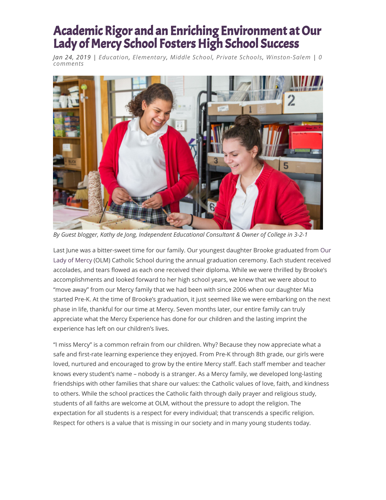## Academic Rigor and an Enriching Environment at Our Lady of Mercy School Fosters High School Success

*Jan 24, 2019 | [Education](http://triadmomsonmain.com/my-blog/category/education/), [Elementary,](http://triadmomsonmain.com/my-blog/category/education/elementary/) Middle [School,](http://triadmomsonmain.com/my-blog/category/education/middle-school/) Private [Schools](http://triadmomsonmain.com/my-blog/category/education/private-schools/), [Winston-Salem](http://triadmomsonmain.com/my-blog/category/by-location/winston-salem/) | 0 comments*



*By Guest blogger, Kathy de Jong, Independent Educational Consultant & Owner of College in 3-2-1*

[Last June was a bitter-sweet time for our family. Our youngest daughter Brooke graduated from Our](http://www.ourladyofmercyschool.org/) Lady of Mercy (OLM) Catholic School during the annual graduation ceremony. Each student received accolades, and tears flowed as each one received their diploma. While we were thrilled by Brooke's accomplishments and looked forward to her high school years, we knew that we were about to "move away" from our Mercy family that we had been with since 2006 when our daughter Mia started Pre-K. At the time of Brooke's graduation, it just seemed like we were embarking on the next phase in life, thankful for our time at Mercy. Seven months later, our entire family can truly appreciate what the Mercy Experience has done for our children and the lasting imprint the experience has left on our children's lives.

"I miss Mercy" is a common refrain from our children. Why? Because they now appreciate what a safe and first-rate learning experience they enjoyed. From Pre-K through 8th grade, our girls were loved, nurtured and encouraged to grow by the entire Mercy staff. Each staff member and teacher knows every student's name – nobody is a stranger. As a Mercy family, we developed long-lasting friendships with other families that share our values: the Catholic values of love, faith, and kindness to others. While the school practices the Catholic faith through daily prayer and religious study, students of all faiths are welcome at OLM, without the pressure to adopt the religion. The expectation for all students is a respect for every individual; that transcends a specific religion. Respect for others is a value that is missing in our society and in many young students today.